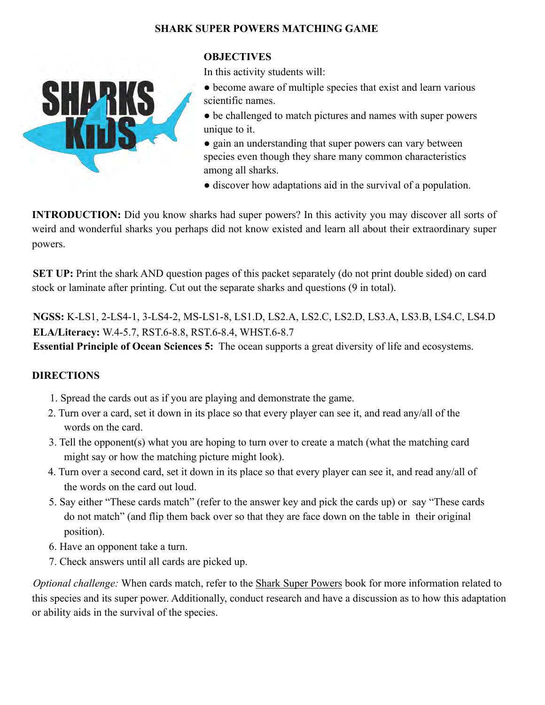## **SHARK SUPER POWERS MATCHING GAME**



## **OBJECTIVES**

In this activity students will:

- become aware of multiple species that exist and learn various scientific names.
- be challenged to match pictures and names with super powers unique to it.
- gain an understanding that super powers can vary between species even though they share many common characteristics among all sharks.
- discover how adaptations aid in the survival of a population.

**INTRODUCTION:** Did you know sharks had super powers? In this activity you may discover all sorts of weird and wonderful sharks you perhaps did not know existed and learn all about their extraordinary super powers.

**SET UP:** Print the shark AND question pages of this packet separately (do not print double sided) on card stock or laminate after printing. Cut out the separate sharks and questions (9 in total).

**NGSS:** K-LS1, 2-LS4-1, 3-LS4-2, MS-LS1-8, LS1.D, LS2.A, LS2.C, LS2.D, LS3.A, LS3.B, LS4.C, LS4.D **ELA/Literacy:** W.4-5.7, RST.6-8.8, RST.6-8.4, WHST.6-8.7

**Essential Principle of Ocean Sciences 5:** The ocean supports a great diversity of life and ecosystems.

## **DIRECTIONS**

- 1. Spread the cards out as if you are playing and demonstrate the game.
- 2. Turn over a card, set it down in its place so that every player can see it, and read any/all of the words on the card.
- 3. Tell the opponent(s) what you are hoping to turn over to create a match (what the matching card might say or how the matching picture might look).
- 4. Turn over a second card, set it down in its place so that every player can see it, and read any/all of the words on the card out loud.
- 5. Say either "These cards match" (refer to the answer key and pick the cards up) or say "These cards do not match" (and flip them back over so that they are face down on the table in their original position).
- 6. Have an opponent take a turn.
- 7. Check answers until all cards are picked up.

*Optional challenge:* When cards match, refer to the Shark Super Powers book for more information related to this species and its super power. Additionally, conduct research and have a discussion as to how this adaptation or ability aids in the survival of the species.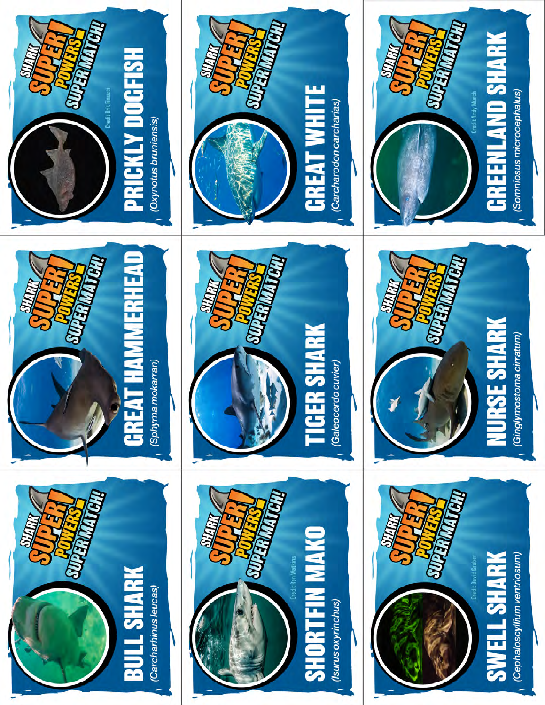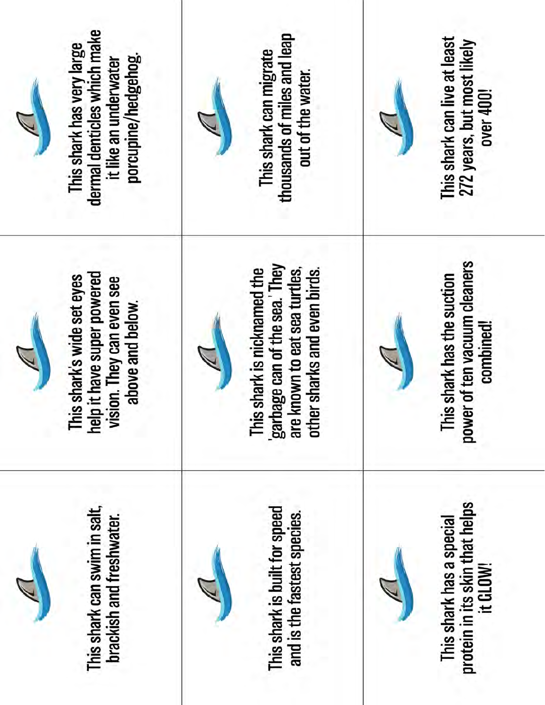